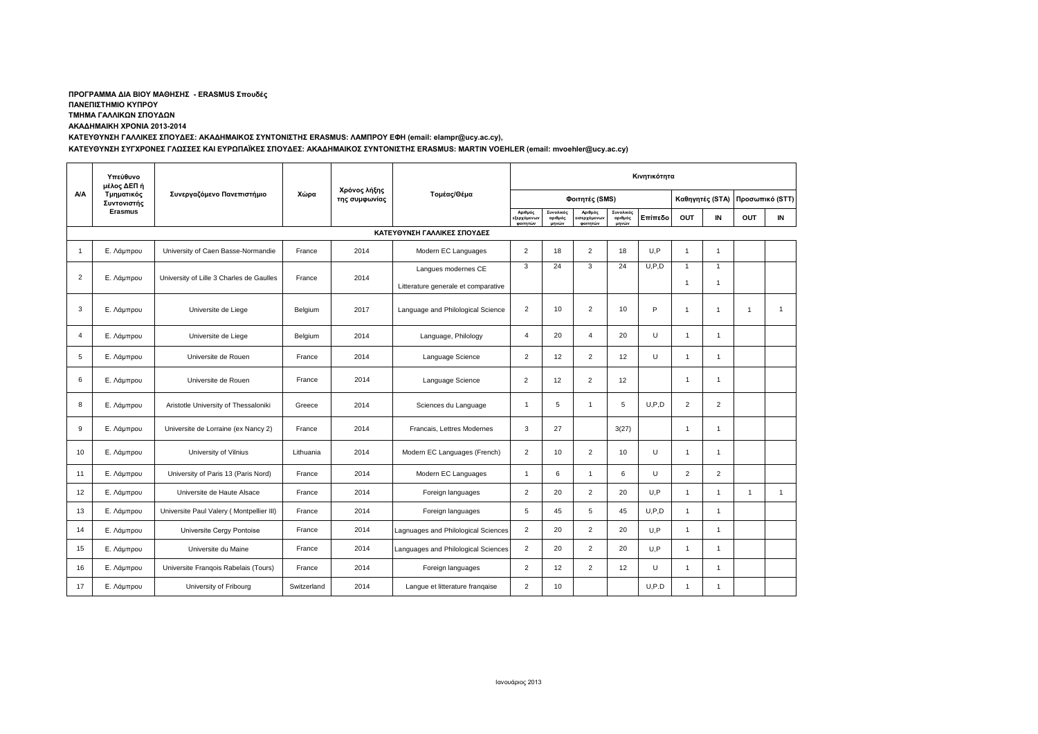## **ΠΡΟΓΡΑΜΜΑ ΔΙΑ ΒΙΟΥ ΜΑΘΗΣΗΣ - ERASMUS Σπουδές**

**ΠΑΝΕΠΙΣΤΗΜΙΟ ΚΥΠΡΟΥ**

**ΤΜΗΜΑ ΓΑΛΛΙΚΩΝ ΣΠΟΥΔΩΝ**

**ΑΚΑΔΗΜΑΙΚΗ ΧΡΟΝΙΑ 2013-2014**

**ΚΑΤΕΥΘΥΝΣΗ ΓΑΛΛΙΚΕΣ ΣΠΟΥΔΕΣ: ΑΚΑΔΗΜΑΙΚΟΣ ΣΥΝΤΟΝΙΣΤΗΣ ERASMUS: ΛΑΜΠΡΟΥ ΕΦΗ (email: elampr@ucy.ac.cy),** 

**ΚΑΤΕΥΘΥΝΣΗ ΣΥΓΧΡΟΝΕΣ ΓΛΩΣΣΕΣ ΚΑΙ ΕΥΡΩΠΑΪΚΕΣ ΣΠΟΥΔΕΣ: ΑΚΑΔΗΜΑΙΚΟΣ ΣΥΝΤΟΝΙΣΤΗΣ ERASMUS: MARTIN VOEHLER (email: mvoehler@ucy.ac.cy)**

|     | Υπεύθυνο<br>μέλος ΔΕΠ ή<br>Τμηματικός<br>Συντονιστής | Συνεργαζόμενο Πανεπιστήμιο               | Χώρα        | Χρόνος λήξης<br>της συμφωνίας | Τομέας/Θέμα                         | Κινητικότητα                      |                               |                                           |                               |         |                 |                      |                 |              |
|-----|------------------------------------------------------|------------------------------------------|-------------|-------------------------------|-------------------------------------|-----------------------------------|-------------------------------|-------------------------------------------|-------------------------------|---------|-----------------|----------------------|-----------------|--------------|
| A/A |                                                      |                                          |             |                               |                                     | Φοιτητές (SMS)                    |                               |                                           |                               |         | Καθηγητές (STA) |                      | Προσωπικό (STT) |              |
|     | Erasmus                                              |                                          |             |                               |                                     | Αριθμός<br>εξερχόμενω<br>φοιτητών | Συνολικός<br>αριθμός<br>μηνών | Αριθμός<br><b>Πσερχόμενων</b><br>φοιτητών | Συνολικός<br>αριθμός<br>μηνών | Επίπεδο | <b>OUT</b>      | IN                   | <b>OUT</b>      | IN           |
|     |                                                      |                                          |             |                               | ΚΑΤΕΥΘΥΝΣΗ ΓΑΛΛΙΚΕΣ ΣΠΟΥΔΕΣ         |                                   |                               |                                           |                               |         |                 |                      |                 |              |
| -1  | Ε. Λάμπρου                                           | University of Caen Basse-Normandie       | France      | 2014                          | Modern EC Languages                 | 2                                 | 18                            | $\overline{2}$                            | 18                            | U.P     | $\overline{1}$  | $\mathbf{1}$         |                 |              |
| 2   |                                                      | University of Lille 3 Charles de Gaulles | France      |                               | Langues modernes CE                 | 3                                 | 24                            | 3                                         | 24                            | U.P.D   | $\overline{1}$  | $\mathbf{1}$         |                 |              |
|     | Ε. Λάμπρου                                           |                                          |             | 2014                          | Litterature generale et comparative |                                   |                               |                                           |                               |         | $\overline{1}$  | $\mathbf{1}$         |                 |              |
| 3   | Ε. Λάμπρου                                           | Universite de Liege                      | Belgium     | 2017                          | Language and Philological Science   | 2                                 | 10                            | 2                                         | 10                            | P       | $\overline{1}$  | $\overline{1}$       | 1               | $\mathbf{1}$ |
| 4   | Ε. Λάμπρου                                           | Universite de Liege                      | Belgium     | 2014                          | Language, Philology                 | $\overline{4}$                    | 20                            | $\overline{4}$                            | 20                            | $\cup$  | $\overline{1}$  | $\mathbf{1}$         |                 |              |
| 5   | Ε. Λάμπρου                                           | Universite de Rouen                      | France      | 2014                          | Language Science                    | 2                                 | 12                            | 2                                         | 12                            | $\cup$  | $\overline{1}$  | $\mathbf{1}$         |                 |              |
| 6   | Ε. Λάμπρου                                           | Universite de Rouen                      | France      | 2014                          | Language Science                    | $\overline{2}$                    | 12                            | $\overline{2}$                            | 12                            |         | $\overline{1}$  | $\overline{1}$       |                 |              |
| 8   | Ε. Λάμπρου                                           | Aristotle University of Thessaloniki     | Greece      | 2014                          | Sciences du Language                | $\overline{1}$                    | 5                             | $\overline{1}$                            | 5                             | U.P.D   | $\overline{2}$  | $\overline{2}$       |                 |              |
| 9   | Ε. Λάμπρου                                           | Universite de Lorraine (ex Nancy 2)      | France      | 2014                          | Francais, Lettres Modernes          | 3                                 | 27                            |                                           | 3(27)                         |         | $\overline{1}$  | $\overline{1}$       |                 |              |
| 10  | Ε. Λάμπρου                                           | University of Vilnius                    | Lithuania   | 2014                          | Modern EC Languages (French)        | $\overline{2}$                    | 10                            | 2                                         | 10                            | U       | $\overline{1}$  | $\overline{1}$       |                 |              |
| 11  | Ε. Λάμπρου                                           | University of Paris 13 (Paris Nord)      | France      | 2014                          | Modern EC Languages                 | $\overline{1}$                    | 6                             | $\overline{1}$                            | 6                             | U       | $\overline{2}$  | $\overline{2}$       |                 |              |
| 12  | Ε. Λάμπρου                                           | Universite de Haute Alsace               | France      | 2014                          | Foreign languages                   | $\overline{2}$                    | 20                            | $\overline{2}$                            | 20                            | U.P     | $\overline{1}$  | $\mathbf{1}$         | $\mathbf{1}$    | $\mathbf{1}$ |
| 13  | Ε. Λάμπρου                                           | Universite Paul Valery (Montpellier III) | France      | 2014                          | Foreign languages                   | 5                                 | 45                            | 5                                         | 45                            | U, P, D | $\overline{1}$  | $\overline{1}$       |                 |              |
| 14  | Ε. Λάμπρου                                           | Universite Cergy Pontoise                | France      | 2014                          | Lagnuages and Philological Sciences | $\overline{2}$                    | 20                            | $\overline{2}$                            | 20                            | U,P     | $\overline{1}$  | $\blacktriangleleft$ |                 |              |
| 15  | Ε. Λάμπρου                                           | Universite du Maine                      | France      | 2014                          | Languages and Philological Sciences | $\overline{2}$                    | 20                            | 2                                         | 20                            | U.P     | $\overline{1}$  | $\overline{1}$       |                 |              |
| 16  | Ε. Λάμπρου                                           | Universite Frangois Rabelais (Tours)     | France      | 2014                          | Foreign languages                   | 2                                 | 12                            | $\overline{2}$                            | 12                            | U       | $\mathbf{1}$    | $\mathbf{1}$         |                 |              |
| 17  | Ε. Λάμπρου                                           | University of Fribourg                   | Switzerland | 2014                          | Langue et litterature frangaise     | $\overline{2}$                    | 10                            |                                           |                               | U, P.D  | $\overline{1}$  | $\mathbf{1}$         |                 |              |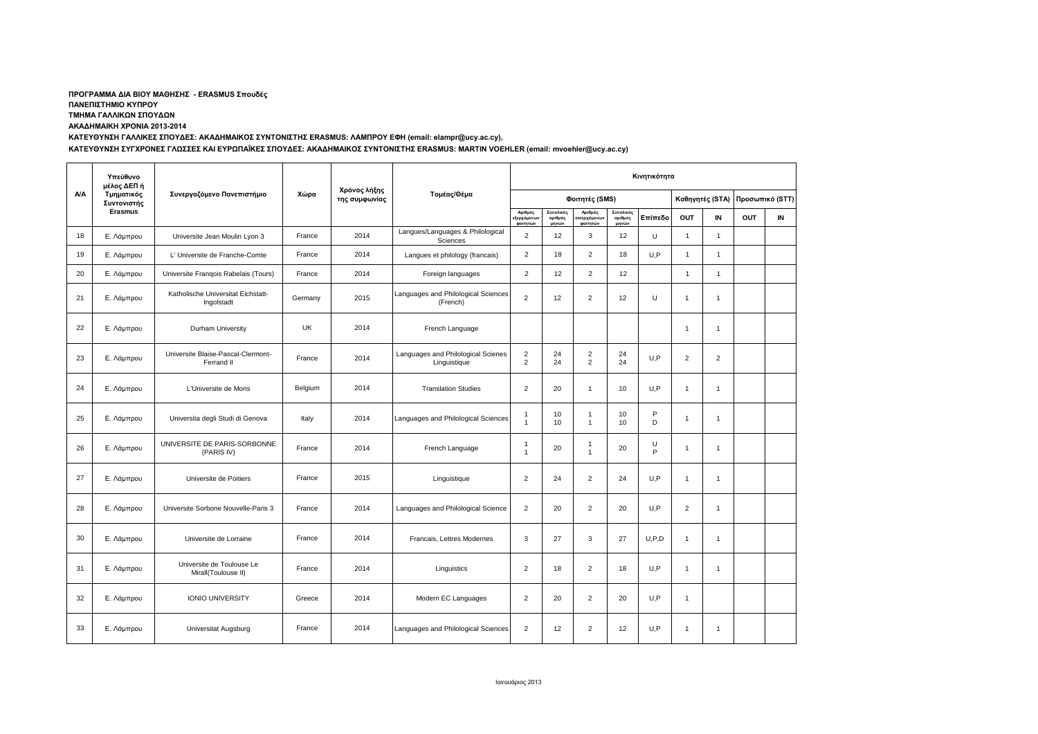## **ΠΡΟΓΡΑΜΜΑ ΔΙΑ ΒΙΟΥ ΜΑΘΗΣΗΣ - ERASMUS Σπουδές**

**ΠΑΝΕΠΙΣΤΗΜΙΟ ΚΥΠΡΟΥ**

**ΤΜΗΜΑ ΓΑΛΛΙΚΩΝ ΣΠΟΥΔΩΝ**

**ΑΚΑΔΗΜΑΙΚΗ ΧΡΟΝΙΑ 2013-2014**

**ΚΑΤΕΥΘΥΝΣΗ ΓΑΛΛΙΚΕΣ ΣΠΟΥΔΕΣ: ΑΚΑΔΗΜΑΙΚΟΣ ΣΥΝΤΟΝΙΣΤΗΣ ERASMUS: ΛΑΜΠΡΟΥ ΕΦΗ (email: elampr@ucy.ac.cy),** 

**ΚΑΤΕΥΘΥΝΣΗ ΣΥΓΧΡΟΝΕΣ ΓΛΩΣΣΕΣ ΚΑΙ ΕΥΡΩΠΑΪΚΕΣ ΣΠΟΥΔΕΣ: ΑΚΑΔΗΜΑΙΚΟΣ ΣΥΝΤΟΝΙΣΤΗΣ ERASMUS: MARTIN VOEHLER (email: mvoehler@ucy.ac.cy)**

|     | Υπεύθυνο<br>μέλος ΔΕΠ ή<br>Τμηματικός<br>Συντονιστής<br>Erasmus | Συνεργαζόμενο Πανεπιστήμιο                       | Χώρα      | Χρόνος λήξης<br>της συμφωνίας | Τομέας/Θέμα                                        | Κινητικότητα                      |                               |                                                   |                               |         |                 |                |                 |    |
|-----|-----------------------------------------------------------------|--------------------------------------------------|-----------|-------------------------------|----------------------------------------------------|-----------------------------------|-------------------------------|---------------------------------------------------|-------------------------------|---------|-----------------|----------------|-----------------|----|
| A/A |                                                                 |                                                  |           |                               |                                                    | Φοιτητές (SMS)                    |                               |                                                   |                               |         | Καθηγητές (STA) |                | Προσωπικό (STT) |    |
|     |                                                                 |                                                  |           |                               |                                                    | Αριθμός<br>εξερχόμενω<br>φοιτητών | Συνολικός<br>αριθμός<br>μηνών | Αριθμός<br><mark>εισερχόμενω</mark> ι<br>φοιτητών | Συνολικός<br>αριθμός<br>μηνών | Επίπεδο | OUT             | IN             | OUT             | IN |
| 18  | Ε. Λάμπρου                                                      | Universite Jean Moulin Lyon 3                    | France    | 2014                          | Langues/Languages & Philological<br>Sciences       | $\overline{2}$                    | 12                            | 3                                                 | 12                            | U       | $\overline{1}$  | $\overline{1}$ |                 |    |
| 19  | Ε. Λάμπρου                                                      | L' Universite de Franche-Comte                   | France    | 2014                          | Langues et philology (francais)                    | $\overline{2}$                    | 18                            | $\overline{2}$                                    | 18                            | U, P    | $\overline{1}$  | $\overline{1}$ |                 |    |
| 20  | Ε. Λάμπρου                                                      | Universite Franqois Rabelais (Tours)             | France    | 2014                          | Foreign languages                                  | $\overline{2}$                    | 12                            | $\overline{2}$                                    | 12                            |         | $\overline{1}$  | $\overline{1}$ |                 |    |
| 21  | Ε. Λάμπρου                                                      | Katholische Universitat Eichstatt-<br>Ingolstadt | Germany   | 2015                          | Languages and Philological Sciences<br>(French)    | 2                                 | 12                            | $\overline{2}$                                    | 12                            | U       | $\overline{1}$  | $\overline{1}$ |                 |    |
| 22  | Ε. Λάμπρου                                                      | Durham University                                | <b>UK</b> | 2014                          | French Language                                    |                                   |                               |                                                   |                               |         | $\overline{1}$  | $\mathbf{1}$   |                 |    |
| 23  | Ε. Λάμπρου                                                      | Universite Blaise-Pascal-Clermont-<br>Ferrand II | France    | 2014                          | Languages and Philological Scienes<br>Linguistique | $\overline{2}$<br>2               | 24<br>24                      | $\overline{2}$<br>2                               | 24<br>24                      | U.P     | $\overline{2}$  | $\overline{2}$ |                 |    |
| 24  | Ε. Λάμπρου                                                      | L'Universite de Mons                             | Belgium   | 2014                          | <b>Translation Studies</b>                         | 2                                 | 20                            | $\overline{1}$                                    | 10                            | U.P     | $\overline{1}$  | $\mathbf{1}$   |                 |    |
| 25  | Ε. Λάμπρου                                                      | Universita degli Studi di Genova                 | Italy     | 2014                          | Languages and Philological Sciences                | $\mathbf{1}$<br>$\overline{1}$    | 10<br>10                      | $\overline{1}$<br>$\overline{1}$                  | 10<br>10                      | P<br>D  | $\mathbf{1}$    | $\overline{1}$ |                 |    |
| 26  | Ε. Λάμπρου                                                      | UNIVERSITE DE PARIS-SORBONNE<br>(PARIS IV)       | France    | 2014                          | French Language                                    | $\overline{1}$<br>$\overline{1}$  | 20                            | -1<br>$\overline{1}$                              | 20                            | U<br>P  | $\overline{1}$  | $\overline{1}$ |                 |    |
| 27  | Ε. Λάμπρου                                                      | Universite de Poitiers                           | France    | 2015                          | Linguistique                                       | $\overline{2}$                    | 24                            | $\overline{2}$                                    | 24                            | U,P     | $\overline{1}$  | $\mathbf{1}$   |                 |    |
| 28  | Ε. Λάμπρου                                                      | Universite Sorbone Nouvelle-Paris 3              | France    | 2014                          | Languages and Philological Science                 | $\overline{2}$                    | 20                            | $\overline{2}$                                    | 20                            | U.P     | $\overline{2}$  | $\overline{1}$ |                 |    |
| 30  | Ε. Λάμπρου                                                      | Universite de Lorraine                           | France    | 2014                          | Francais, Lettres Modernes                         | 3                                 | 27                            | 3                                                 | 27                            | U, P, D | $\overline{1}$  | $\overline{1}$ |                 |    |
| 31  | Ε. Λάμπρου                                                      | Universite de Toulouse Le<br>Mirall(Toulouse II) | France    | 2014                          | Linguistics                                        | $\overline{2}$                    | 18                            | $\overline{2}$                                    | 18                            | U.P     | $\overline{1}$  | $\overline{1}$ |                 |    |
| 32  | Ε. Λάμπρου                                                      | <b>IONIO UNIVERSITY</b>                          | Greece    | 2014                          | Modern EC Languages                                | 2                                 | 20                            | 2                                                 | 20                            | U.P     | $\overline{1}$  |                |                 |    |
| 33  | Ε. Λάμπρου                                                      | Universitat Augsburg                             | France    | 2014                          | Languages and Philological Sciences                | 2                                 | 12                            | 2                                                 | 12                            | U.P     | $\mathbf{1}$    | $\overline{1}$ |                 |    |